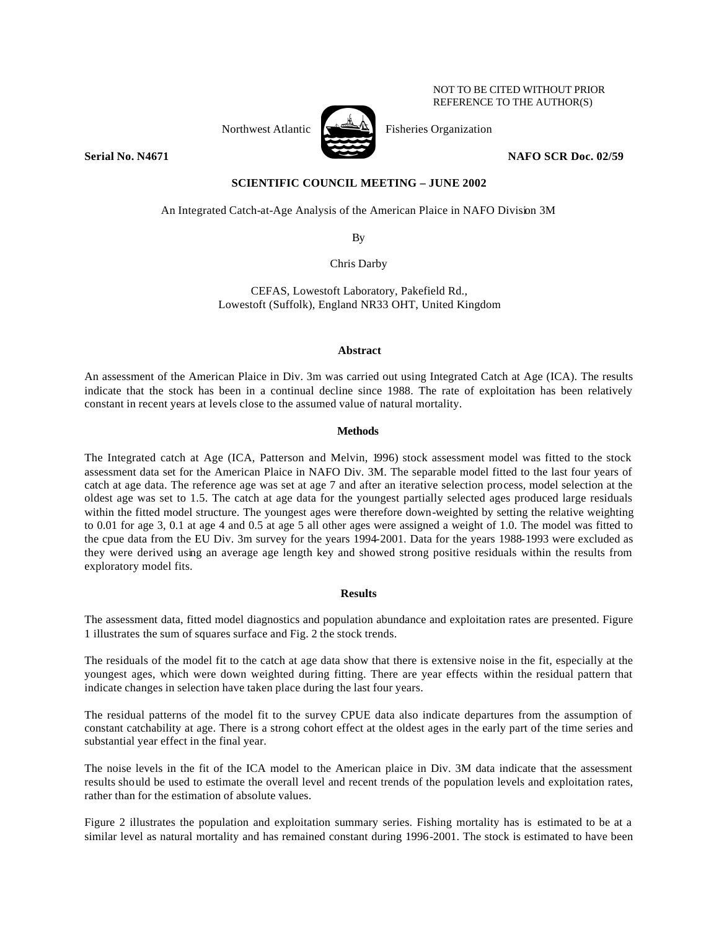NOT TO BE CITED WITHOUT PRIOR REFERENCE TO THE AUTHOR(S)



Northwest Atlantic  $\left[\begin{array}{cc} \sqrt{2} & \frac{1}{2} \\ \frac{1}{2} & \frac{1}{2} \\ \frac{1}{2} & \frac{1}{2} \\ \frac{1}{2} & \frac{1}{2} \\ \frac{1}{2} & \frac{1}{2} \\ \frac{1}{2} & \frac{1}{2} \\ \frac{1}{2} & \frac{1}{2} \\ \frac{1}{2} & \frac{1}{2} \\ \frac{1}{2} & \frac{1}{2} \\ \frac{1}{2} & \frac{1}{2} \\ \frac{1}{2} & \frac{1}{2} \\ \frac{1}{2} & \frac{1}{2} \\ \frac$ 

**Serial No. N4671 NAFO SCR Doc. 02/59** 

**SCIENTIFIC COUNCIL MEETING – JUNE 2002**

An Integrated Catch-at-Age Analysis of the American Plaice in NAFO Division 3M

By

Chris Darby

CEFAS, Lowestoft Laboratory, Pakefield Rd., Lowestoft (Suffolk), England NR33 OHT, United Kingdom

## **Abstract**

An assessment of the American Plaice in Div. 3m was carried out using Integrated Catch at Age (ICA). The results indicate that the stock has been in a continual decline since 1988. The rate of exploitation has been relatively constant in recent years at levels close to the assumed value of natural mortality.

## **Methods**

The Integrated catch at Age (ICA, Patterson and Melvin, 1996) stock assessment model was fitted to the stock assessment data set for the American Plaice in NAFO Div. 3M. The separable model fitted to the last four years of catch at age data. The reference age was set at age 7 and after an iterative selection process, model selection at the oldest age was set to 1.5. The catch at age data for the youngest partially selected ages produced large residuals within the fitted model structure. The youngest ages were therefore down-weighted by setting the relative weighting to 0.01 for age 3, 0.1 at age 4 and 0.5 at age 5 all other ages were assigned a weight of 1.0. The model was fitted to the cpue data from the EU Div. 3m survey for the years 1994-2001. Data for the years 1988-1993 were excluded as they were derived using an average age length key and showed strong positive residuals within the results from exploratory model fits.

# **Results**

The assessment data, fitted model diagnostics and population abundance and exploitation rates are presented. Figure 1 illustrates the sum of squares surface and Fig. 2 the stock trends.

The residuals of the model fit to the catch at age data show that there is extensive noise in the fit, especially at the youngest ages, which were down weighted during fitting. There are year effects within the residual pattern that indicate changes in selection have taken place during the last four years.

The residual patterns of the model fit to the survey CPUE data also indicate departures from the assumption of constant catchability at age. There is a strong cohort effect at the oldest ages in the early part of the time series and substantial year effect in the final year.

The noise levels in the fit of the ICA model to the American plaice in Div. 3M data indicate that the assessment results should be used to estimate the overall level and recent trends of the population levels and exploitation rates, rather than for the estimation of absolute values.

Figure 2 illustrates the population and exploitation summary series. Fishing mortality has is estimated to be at a similar level as natural mortality and has remained constant during 1996-2001. The stock is estimated to have been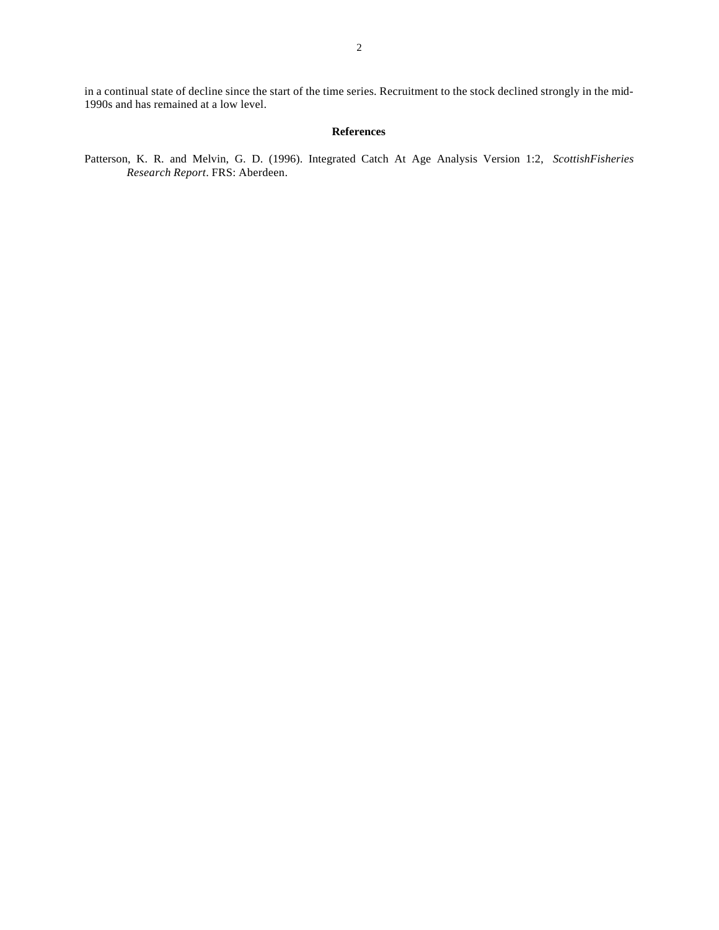in a continual state of decline since the start of the time series. Recruitment to the stock declined strongly in the mid-1990s and has remained at a low level.

# **References**

Patterson, K. R. and Melvin, G. D. (1996). Integrated Catch At Age Analysis Version 1:2, *ScottishFisheries Research Report*. FRS: Aberdeen.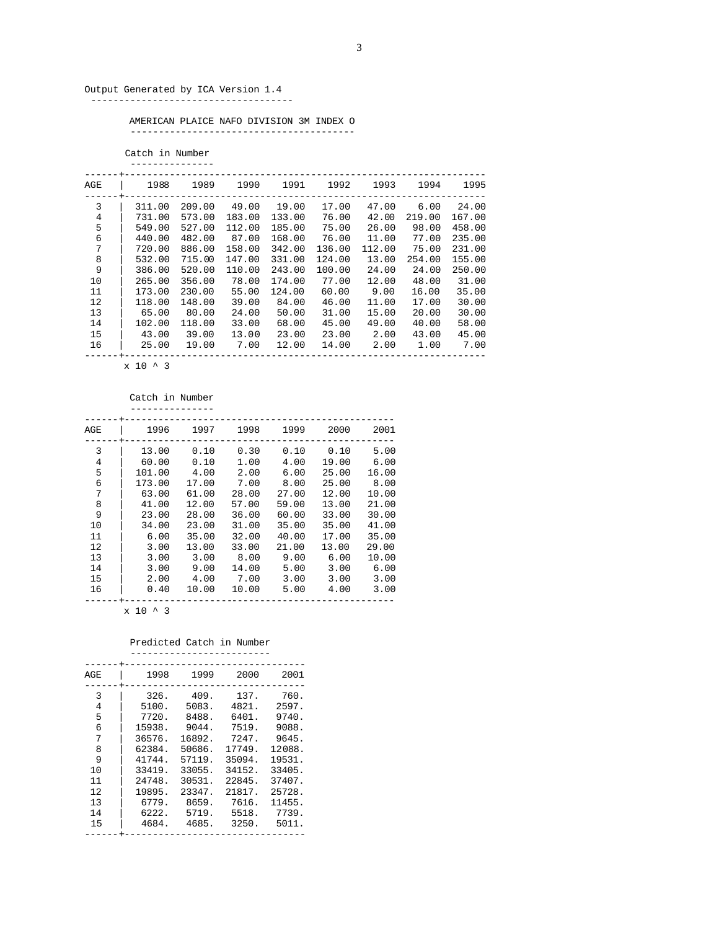## Output Generated by ICA Version 1.4

------------------------------------

 AMERICAN PLAICE NAFO DIVISION 3M INDEX O ----------------------------------------

 Catch in Number ---------------

| AGE | 1988   | 1989   | 1990   | 1991   | 1992   | 1993   | 1994   | 1995   |
|-----|--------|--------|--------|--------|--------|--------|--------|--------|
| 3   | 311.00 | 209.00 | 49.00  | 19.00  | 17.00  | 47.00  | 6.00   | 24.00  |
| 4   | 731.00 | 573.00 | 183.00 | 133.00 | 76.00  | 42.00  | 219.00 | 167.00 |
| 5   | 549.00 | 527.00 | 112.00 | 185.00 | 75.00  | 26.00  | 98.00  | 458.00 |
| 6   | 440.00 | 482.00 | 87.00  | 168.00 | 76.00  | 11.00  | 77.00  | 235.00 |
| 7   | 720.00 | 886.00 | 158.00 | 342.00 | 136.00 | 112.00 | 75.00  | 231.00 |
| 8   | 532.00 | 715.00 | 147.00 | 331.00 | 124.00 | 13.00  | 254.00 | 155.00 |
| 9   | 386.00 | 520.00 | 110.00 | 243.00 | 100.00 | 24.00  | 24.00  | 250.00 |
| 10  | 265.00 | 356.00 | 78.00  | 174.00 | 77.00  | 12.00  | 48.00  | 31.00  |
| 11  | 173.00 | 230.00 | 55.00  | 124.00 | 60.00  | 9.00   | 16.00  | 35.00  |
| 12  | 118.00 | 148.00 | 39.00  | 84.00  | 46.00  | 11.00  | 17.00  | 30.00  |
| 13  | 65.00  | 80.00  | 24.00  | 50.00  | 31.00  | 15.00  | 20.00  | 30.00  |
| 14  | 102.00 | 118.00 | 33.00  | 68.00  | 45.00  | 49.00  | 40.00  | 58.00  |
| 15  | 43.00  | 39.00  | 13.00  | 23.00  | 23.00  | 2.00   | 43.00  | 45.00  |
| 16  | 25.00  | 19.00  | 7.00   | 12.00  | 14.00  | 2.00   | 1.00   | 7.00   |
|     |        |        |        |        |        |        |        |        |

x 10 ^ 3

#### Catch in Number

| AGE | 1996   | 1997  | 1998  | 1999  | 2000  | 2001  |
|-----|--------|-------|-------|-------|-------|-------|
| 3   | 13.00  | 0.10  | 0.30  | 0.10  | 0.10  | 5.00  |
| 4   | 60.00  | 0.10  | 1.00  | 4.00  | 19.00 | 6.00  |
| 5   | 101.00 | 4.00  | 2.00  | 6.00  | 25.00 | 16.00 |
| 6   | 173.00 | 17.00 | 7.00  | 8.00  | 25.00 | 8.00  |
| 7   | 63.00  | 61.00 | 28.00 | 27.00 | 12.00 | 10.00 |
| 8   | 41.00  | 12.00 | 57.00 | 59.00 | 13.00 | 21.00 |
| 9   | 23.00  | 28.00 | 36.00 | 60.00 | 33.00 | 30.00 |
| 10  | 34.00  | 23.00 | 31.00 | 35.00 | 35.00 | 41.00 |
| 11  | 6.00   | 35.00 | 32.00 | 40.00 | 17.00 | 35.00 |
| 12  | 3.00   | 13.00 | 33.00 | 21.00 | 13.00 | 29.00 |
| 13  | 3.00   | 3.00  | 8.00  | 9.00  | 6.00  | 10.00 |
| 14  | 3.00   | 9.00  | 14.00 | 5.00  | 3.00  | 6.00  |
| 15  | 2.00   | 4.00  | 7.00  | 3.00  | 3.00  | 3.00  |
| 16  | 0.40   | 10.00 | 10.00 | 5.00  | 4.00  | 3.00  |

x 10 ^ 3

Predicted Catch in Number

| ------------------------- |  |  |  |  |  |  |
|---------------------------|--|--|--|--|--|--|
|                           |  |  |  |  |  |  |

| AGE    | 1998          | 1999          | 2000          | 2001          |
|--------|---------------|---------------|---------------|---------------|
| 3<br>4 | 326.<br>5100. | 409.<br>5083. | 137.<br>4821. | 760.<br>2597. |
| 5      | 7720.         | 8488.         | 6401.         | 9740.         |
| 6      | 15938.        | 9044.         | 7519.         | 9088.         |
| 7      | 36576.        | 16892.        | 7247.         | 9645.         |
| 8      | 62384.        | 50686.        | 17749.        | 12088.        |
| 9      | 41744.        | 57119.        | 35094.        | 19531.        |
| 10     | 33419.        | 33055.        | 34152.        | 33405.        |
| 11     | 24748.        | 30531.        | 22845.        | 37407.        |
| 12     | 19895.        | 23347.        | 21817.        | 25728.        |
| 13     | 6779.         | 8659.         | 7616.         | 11455.        |
| 14     | 6222.         | 5719.         | 5518.         | 7739.         |
| 15     | 4684.         | 4685.         | 3250.         | 5011.         |
|        |               |               |               |               |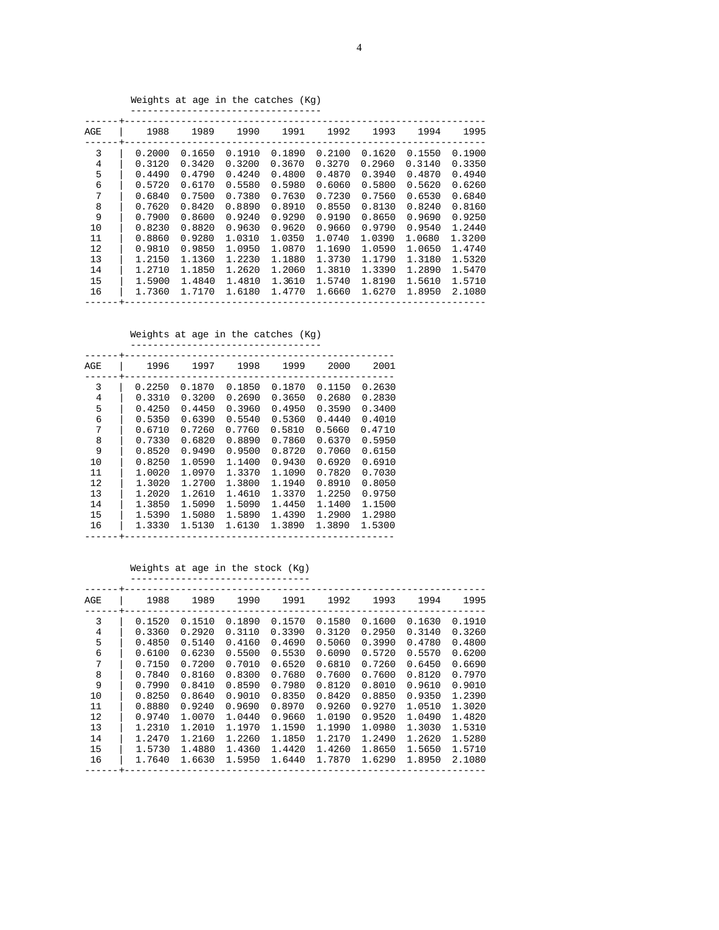Weights at age in the catches (Kg) ----------------------------------

| AGE | 1988   | 1989   | 1990   | 1991   | 1992   | 1993   | 1994   | 1995   |
|-----|--------|--------|--------|--------|--------|--------|--------|--------|
| 3   | 0.2000 | 0.1650 | 0.1910 | 0.1890 | 0.2100 | 0.1620 | 0.1550 | 0.1900 |
| 4   | 0.3120 | 0.3420 | 0.3200 | 0.3670 | 0.3270 | 0.2960 | 0.3140 | 0.3350 |
| 5   | 0.4490 | 0.4790 | 0.4240 | 0.4800 | 0.4870 | 0.3940 | 0.4870 | 0.4940 |
| 6   | 0.5720 | 0.6170 | 0.5580 | 0.5980 | 0.6060 | 0.5800 | 0.5620 | 0.6260 |
| 7   | 0.6840 | 0.7500 | 0.7380 | 0.7630 | 0.7230 | 0.7560 | 0.6530 | 0.6840 |
| 8   | 0.7620 | 0.8420 | 0.8890 | 0.8910 | 0.8550 | 0.8130 | 0.8240 | 0.8160 |
| 9   | 0.7900 | 0.8600 | 0.9240 | 0.9290 | 0.9190 | 0.8650 | 0.9690 | 0.9250 |
| 10  | 0.8230 | 0.8820 | 0.9630 | 0.9620 | 0.9660 | 0.9790 | 0.9540 | 1.2440 |
| 11  | 0.8860 | 0.9280 | 1.0310 | 1.0350 | 1.0740 | 1.0390 | 1.0680 | 1.3200 |
| 12  | 0.9810 | 0.9850 | 1.0950 | 1.0870 | 1.1690 | 1.0590 | 1.0650 | 1.4740 |
| 13  | 1.2150 | 1.1360 | 1.2230 | 1.1880 | 1.3730 | 1.1790 | 1.3180 | 1.5320 |
| 14  | 1.2710 | 1.1850 | 1.2620 | 1.2060 | 1.3810 | 1.3390 | 1.2890 | 1.5470 |
| 15  | 1.5900 | 1.4840 | 1.4810 | 1.3610 | 1.5740 | 1.8190 | 1.5610 | 1.5710 |
| 16  | 1.7360 | 1.7170 | 1.6180 | 1.4770 | 1.6660 | 1.6270 | 1.8950 | 2.1080 |
|     |        |        |        |        |        |        |        |        |

Weights at age in the catches (Kg)

| AGE | 1996   | 1997   | 1998   | 1999   | 2000   | 2001   |
|-----|--------|--------|--------|--------|--------|--------|
| 3   | 0.2250 | 0.1870 | 0.1850 | 0.1870 | 0.1150 | 0.2630 |
| 4   | 0.3310 | 0.3200 | 0.2690 | 0.3650 | 0.2680 | 0.2830 |
| 5   | 0.4250 | 0.4450 | 0.3960 | 0.4950 | 0.3590 | 0.3400 |
| 6   | 0.5350 | 0.6390 | 0.5540 | 0.5360 | 0.4440 | 0.4010 |
| 7   | 0.6710 | 0.7260 | 0.7760 | 0.5810 | 0.5660 | 0.4710 |
| 8   | 0.7330 | 0.6820 | 0.8890 | 0.7860 | 0.6370 | 0.5950 |
| 9   | 0.8520 | 0.9490 | 0.9500 | 0.8720 | 0.7060 | 0.6150 |
| 10  | 0.8250 | 1.0590 | 1.1400 | 0.9430 | 0.6920 | 0.6910 |
| 11  | 1.0020 | 1.0970 | 1.3370 | 1.1090 | 0.7820 | 0.7030 |
| 12  | 1.3020 | 1.2700 | 1.3800 | 1.1940 | 0.8910 | 0.8050 |
| 13  | 1.2020 | 1.2610 | 1.4610 | 1.3370 | 1.2250 | 0.9750 |
| 14  | 1.3850 | 1.5090 | 1.5090 | 1.4450 | 1.1400 | 1.1500 |
| 15  | 1.5390 | 1.5080 | 1.5890 | 1.4390 | 1.2900 | 1.2980 |
| 16  | 1.3330 | 1.5130 | 1.6130 | 1.3890 | 1.3890 | 1.5300 |
|     |        |        |        |        |        |        |

Weights at age in the stock (Kg)

| AGE | 1988   | 1989   | 1990   | 1991   | 1992   | 1993   | 1994   | 1995   |
|-----|--------|--------|--------|--------|--------|--------|--------|--------|
| 3   | 0.1520 | 0.1510 | 0.1890 | 0.1570 | 0.1580 | 0.1600 | 0.1630 | 0.1910 |
| 4   | 0.3360 | 0.2920 | 0.3110 | 0.3390 | 0.3120 | 0.2950 | 0.3140 | 0.3260 |
| 5   | 0.4850 | 0.5140 | 0.4160 | 0.4690 | 0.5060 | 0.3990 | 0.4780 | 0.4800 |
| 6   | 0.6100 | 0.6230 | 0.5500 | 0.5530 | 0.6090 | 0.5720 | 0.5570 | 0.6200 |
| 7   | 0.7150 | 0.7200 | 0.7010 | 0.6520 | 0.6810 | 0.7260 | 0.6450 | 0.6690 |
| 8   | 0.7840 | 0.8160 | 0.8300 | 0.7680 | 0.7600 | 0.7600 | 0.8120 | 0.7970 |
| 9   | 0.7990 | 0.8410 | 0.8590 | 0.7980 | 0.8120 | 0.8010 | 0.9610 | 0.9010 |
| 10  | 0.8250 | 0.8640 | 0.9010 | 0.8350 | 0.8420 | 0.8850 | 0.9350 | 1.2390 |
| 11  | 0.8880 | 0.9240 | 0.9690 | 0.8970 | 0.9260 | 0.9270 | 1.0510 | 1.3020 |
| 12  | 0.9740 | 1,0070 | 1.0440 | 0.9660 | 1.0190 | 0.9520 | 1.0490 | 1.4820 |
| 13  | 1.2310 | 1.2010 | 1.1970 | 1.1590 | 1.1990 | 1.0980 | 1.3030 | 1.5310 |
| 14  | 1.2470 | 1.2160 | 1.2260 | 1.1850 | 1.2170 | 1.2490 | 1.2620 | 1.5280 |
| 15  | 1.5730 | 1.4880 | 1.4360 | 1.4420 | 1.4260 | 1.8650 | 1.5650 | 1.5710 |
| 16  | 1.7640 | 1.6630 | 1.5950 | 1.6440 | 1.7870 | 1.6290 | 1.8950 | 2.1080 |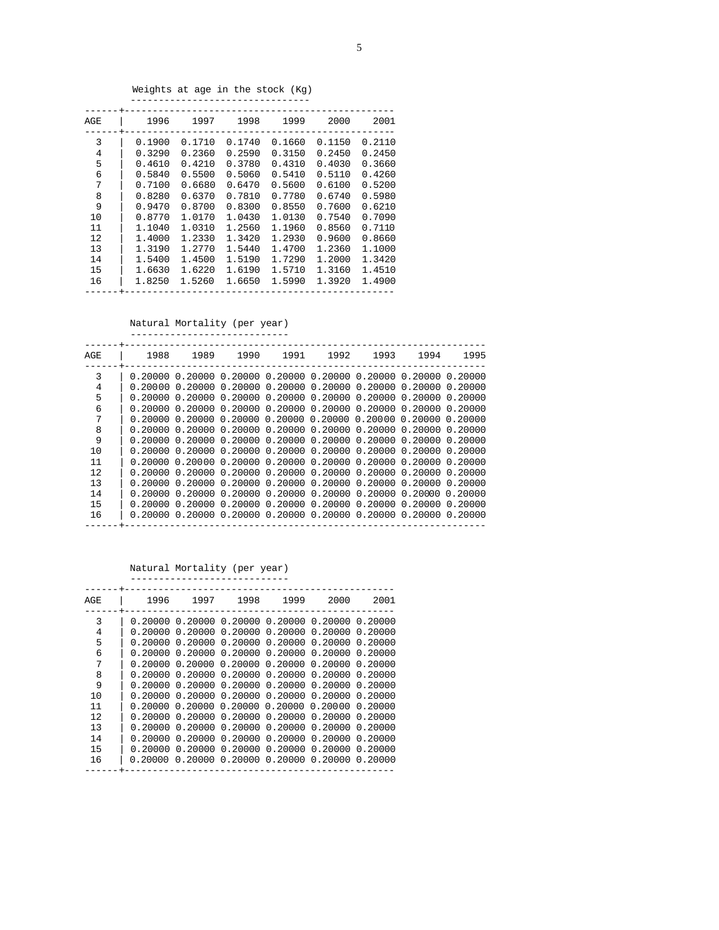Weights at age in the stock (Kg)

| AGE                                               | 1996                                                                                             | 1997                                                                                             | 1998                                                                                             | 1999                                                                                             | 2000                                                                                             | 2001                                                                                             |
|---------------------------------------------------|--------------------------------------------------------------------------------------------------|--------------------------------------------------------------------------------------------------|--------------------------------------------------------------------------------------------------|--------------------------------------------------------------------------------------------------|--------------------------------------------------------------------------------------------------|--------------------------------------------------------------------------------------------------|
| 3<br>4<br>5<br>6<br>7<br>8<br>9<br>10<br>11<br>12 | 0.1900<br>0.3290<br>0.4610<br>0.5840<br>0.7100<br>0.8280<br>0.9470<br>0.8770<br>1.1040<br>1.4000 | 0.1710<br>0.2360<br>0.4210<br>0.5500<br>0.6680<br>0.6370<br>0.8700<br>1.0170<br>1.0310<br>1.2330 | 0.1740<br>0.2590<br>0.3780<br>0.5060<br>0.6470<br>0.7810<br>0.8300<br>1.0430<br>1.2560<br>1.3420 | 0.1660<br>0.3150<br>0.4310<br>0.5410<br>0.5600<br>0.7780<br>0.8550<br>1.0130<br>1.1960<br>1.2930 | 0.1150<br>0.2450<br>0.4030<br>0.5110<br>0.6100<br>0.6740<br>0.7600<br>0.7540<br>0.8560<br>0.9600 | 0.2110<br>0.2450<br>0.3660<br>0.4260<br>0.5200<br>0.5980<br>0.6210<br>0.7090<br>0.7110<br>0.8660 |
| 13<br>14<br>15<br>16                              | 1.3190<br>1.5400<br>1.6630<br>1.8250                                                             | 1.2770<br>1.4500<br>1.6220<br>1.5260                                                             | 1.5440<br>1.5190<br>1.6190<br>1.6650                                                             | 1.4700<br>1.7290<br>1.5710<br>1.5990                                                             | 1.2360<br>1,2000<br>1.3160<br>1.3920                                                             | 1.1000<br>1.3420<br>1.4510<br>1.4900                                                             |
|                                                   |                                                                                                  |                                                                                                  |                                                                                                  |                                                                                                  |                                                                                                  |                                                                                                  |

 Natural Mortality (per year) ----------------------------

| AGE | 1988      | 1989    | 1990                                                                  |         | 1991 1992 | 1993                                              | 1994    | 1995    |
|-----|-----------|---------|-----------------------------------------------------------------------|---------|-----------|---------------------------------------------------|---------|---------|
| 3   |           |         | $0.20000$ 0.20000 0.20000 0.20000 0.20000 0.20000 0.20000 0.20000     |         |           |                                                   |         |         |
| 4   | 0.20000   | 0.20000 |                                                                       |         |           | $0.20000$ 0.20000 0.20000 0.20000 0.20000         |         | 0.20000 |
| 5   | 0.20000   | 0.20000 | 0.20000                                                               | 0.20000 |           | 0.20000 0.20000                                   | 0.20000 | 0.20000 |
| 6   | 0.20000   | 0.20000 |                                                                       |         |           | $0.20000$ $0.20000$ $0.20000$ $0.20000$ $0.20000$ |         | 0.20000 |
| 7   | 0.20000   |         | 0.2000000.20000                                                       |         |           | $0.20000$ 0.20000 0.20000 0.20000 0.20000         |         |         |
| 8   | 0.20000 O |         | $0.20000$ $0.20000$ $0.20000$ $0.20000$ $0.20000$ $0.20000$ $0.20000$ |         |           |                                                   |         |         |
| 9   | 0.20000 O |         | $0.20000$ $0.20000$ $0.20000$ $0.20000$ $0.20000$ $0.20000$ $0.20000$ |         |           |                                                   |         |         |
| 10  | 0.20000   |         | $0.20000$ $0.20000$ $0.20000$ $0.20000$ $0.20000$ $0.20000$ $0.20000$ |         |           |                                                   |         |         |
| 11  | 0.20000   | 0.20000 | 0.20000                                                               |         |           | $0.20000$ $0.20000$ $0.20000$ $0.20000$           |         | 0.20000 |
| 12  | 0.20000   | 0.20000 | 0.20000                                                               | 0.20000 |           | 0.20000 0.20000                                   | 0.20000 | 0.20000 |
| 13  | 0.20000   | 0.20000 | 0.20000                                                               | 0.20000 | 0.20000   | 0.20000                                           | 0.20000 | 0.20000 |
| 14  | 0.20000   | 0.20000 | 0.20000                                                               | 0.20000 | 0.20000   | 0.20000                                           | 0.20000 | 0.20000 |
| 15  | 0.20000   | 0.20000 | 0.20000                                                               | 0.20000 | 0.20000   | 0.20000                                           | 0.20000 | 0.20000 |
| 16  | 0.20000   | 0.20000 |                                                                       |         |           | $0.20000$ 0.20000 0.20000 0.20000 0.20000         |         | 0.20000 |
|     |           |         |                                                                       |         |           |                                                   |         |         |

 Natural Mortality (per year) ----------------------------

| AGE    | 1996    | 1997                       | 1998                                              | 1999                               | 2000    | 2001               |
|--------|---------|----------------------------|---------------------------------------------------|------------------------------------|---------|--------------------|
| 3<br>4 | 0.20000 | 0.20000 0.20000<br>0.20000 | 0.20000                                           | 0.20000 0.20000 0.20000<br>0.20000 | 0.20000 | 0.20000<br>0.20000 |
| 5      | 0.20000 |                            | 0.2000000320000                                   | 0.20000                            | 0.20000 | 0.20000            |
| 6      | 0.20000 | 0.20000                    | 0.20000                                           | 0.20000                            | 0.20000 | 0.20000            |
| 7      | 0.20000 | 0.20000                    |                                                   | 0.2000000.20000                    | 0.20000 | 0.20000            |
| 8      | 0.20000 | 0.20000                    |                                                   | 0.2000000.20000                    | 0.20000 | 0.20000            |
| 9      | 0.20000 |                            | $0.20000$ $0.20000$ $0.20000$ $0.20000$           |                                    |         | 0.20000            |
| 10     | 0.20000 | 0.20000                    | 0.20000                                           | $0.20000$ $0.20000$                |         | 0.20000            |
| 11     | 0.20000 | 0.20000                    | 0.20000                                           | 0.2000000320000                    |         | 0.20000            |
| 12     | 0.20000 | 0.20000                    | 0.20000                                           | 0.20000                            | 0.20000 | 0.20000            |
| 13     | 0.20000 | 0.20000                    | 0.20000                                           | 0.20000                            | 0.20000 | 0.20000            |
| 14     | 0.20000 | 0.20000                    | 0.20000                                           | 0.20000                            | 0.20000 | 0.20000            |
| 15     | 0.20000 | 0.20000                    | 0.20000                                           | 0.20000                            | 0.20000 | 0.20000            |
| 16     |         |                            | $0.20000$ $0.20000$ $0.20000$ $0.20000$ $0.20000$ |                                    |         | 0.20000            |
|        |         |                            |                                                   |                                    |         |                    |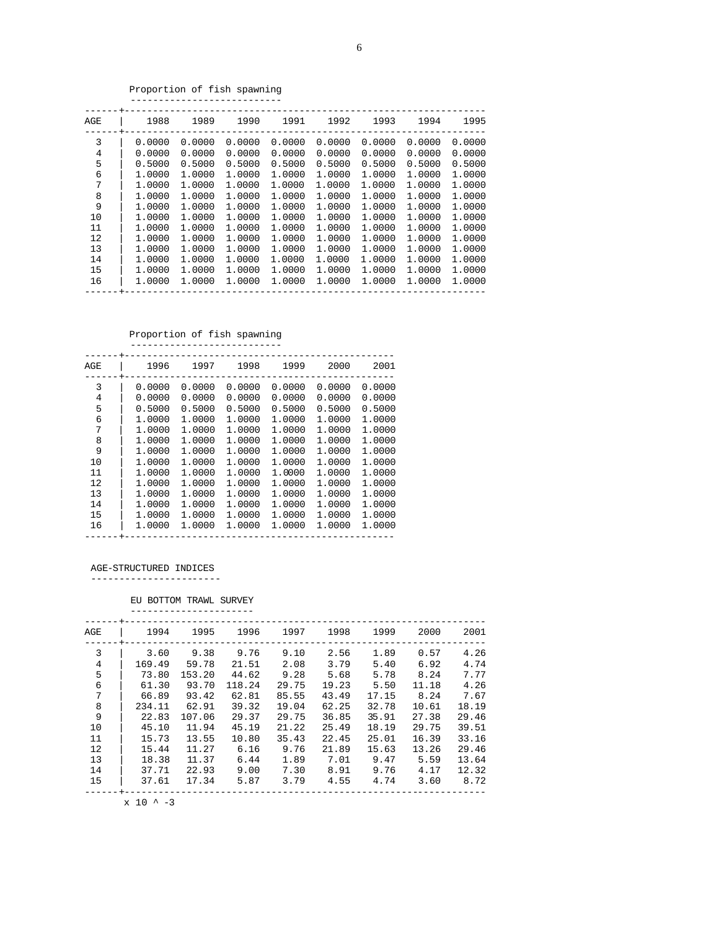6

Proportion of fish spawning

| AGE | 1988   | 1989   | 1990   | 1991   | 1992   | 1993   | 1994   | 1995   |
|-----|--------|--------|--------|--------|--------|--------|--------|--------|
| 3   | 0.0000 | 0.0000 | 0.0000 | 0.0000 | 0.0000 | 0.0000 | 0.0000 | 0.0000 |
| 4   | 0.0000 | 0.0000 | 0.0000 | 0.0000 | 0.0000 | 0.0000 | 0.0000 | 0.0000 |
| 5   | 0.5000 | 0.5000 | 0.5000 | 0.5000 | 0.5000 | 0.5000 | 0.5000 | 0.5000 |
| 6   | 1.0000 | 1.0000 | 1,0000 | 1.0000 | 1.0000 | 1.0000 | 1.0000 | 1.0000 |
| 7   | 1,0000 | 1.0000 | 1,0000 | 1,0000 | 1,0000 | 1,0000 | 1.0000 | 1.0000 |
| 8   | 1.0000 | 1.0000 | 1.0000 | 1.0000 | 1.0000 | 1.0000 | 1,0000 | 1.0000 |
| 9   | 1.0000 | 1.0000 | 1.0000 | 1.0000 | 1.0000 | 1.0000 | 1,0000 | 1.0000 |
| 10  | 1.0000 | 1,0000 | 1,0000 | 1,0000 | 1.0000 | 1,0000 | 1.0000 | 1.0000 |
| 11  | 1.0000 | 1,0000 | 1.0000 | 1.0000 | 1.0000 | 1.0000 | 1.0000 | 1.0000 |
| 12  | 1.0000 | 1,0000 | 1,0000 | 1,0000 | 1.0000 | 1,0000 | 1,0000 | 1,0000 |
| 13  | 1.0000 | 1.0000 | 1,0000 | 1,0000 | 1.0000 | 1.0000 | 1.0000 | 1.0000 |
| 14  | 1.0000 | 1,0000 | 1,0000 | 1,0000 | 1,0000 | 1,0000 | 1.0000 | 1.0000 |
| 15  | 1.0000 | 1,0000 | 1,0000 | 1,0000 | 1.0000 | 1,0000 | 1,0000 | 1.0000 |
| 16  | 1.0000 | 1,0000 | 1,0000 | 1.0000 | 1.0000 | 1,0000 | 1,0000 | 1.0000 |
|     |        |        |        |        |        |        |        |        |

Proportion of fish spawning

| --------------------------- |  |  |  |  |  |  |  |  |  |  |  |  |
|-----------------------------|--|--|--|--|--|--|--|--|--|--|--|--|
|                             |  |  |  |  |  |  |  |  |  |  |  |  |
|                             |  |  |  |  |  |  |  |  |  |  |  |  |

| AGE | 1996   | 1997   | 1998   | 1999   | 2000   | 2001   |
|-----|--------|--------|--------|--------|--------|--------|
| 3   | 0.0000 | 0.0000 | 0.0000 | 0.0000 | 0.0000 | 0.0000 |
| 4   | 0.0000 | 0.0000 | 0.0000 | 0.0000 | 0.0000 | 0.0000 |
| 5   | 0.5000 | 0.5000 | 0.5000 | 0.5000 | 0.5000 | 0.5000 |
| 6   | 1.0000 | 1,0000 | 1.0000 | 1,0000 | 1,0000 | 1.0000 |
| 7   | 1.0000 | 1,0000 | 1,0000 | 1,0000 | 1.0000 | 1.0000 |
| 8   | 1,0000 | 1,0000 | 1.0000 | 1,0000 | 1,0000 | 1,0000 |
| 9   | 1,0000 | 1,0000 | 1,0000 | 1,0000 | 1,0000 | 1,0000 |
| 10  | 1.0000 | 1,0000 | 1,0000 | 1,0000 | 1,0000 | 1,0000 |
| 11  | 1,0000 | 1,0000 | 1,0000 | 1,0000 | 1,0000 | 1,0000 |
| 12  | 1.0000 | 1.0000 | 1,0000 | 1,0000 | 1,0000 | 1.0000 |
| 13  | 1,0000 | 1,0000 | 1,0000 | 1,0000 | 1,0000 | 1,0000 |
| 14  | 1,0000 | 1,0000 | 1,0000 | 1,0000 | 1,0000 | 1,0000 |
| 15  | 1,0000 | 1,0000 | 1.0000 | 1,0000 | 1,0000 | 1,0000 |
| 16  | 1.0000 | 1,0000 | 1,0000 | 1,0000 | 1,0000 | 1,0000 |
|     |        |        |        |        |        |        |

# AGE-STRUCTURED INDICES

-----------------------

# EU BOTTOM TRAWL SURVEY

| ---------------------- |  |
|------------------------|--|
|                        |  |
|                        |  |

| AGE | 1994   | 1995   | 1996   | 1997  | 1998  | 1999  | 2000  | 2001  |
|-----|--------|--------|--------|-------|-------|-------|-------|-------|
| 3   | 3.60   | 9.38   | 9.76   | 9.10  | 2.56  | 1.89  | 0.57  | 4.26  |
| 4   | 169.49 | 59.78  | 21.51  | 2.08  | 3.79  | 5.40  | 6.92  | 4.74  |
| 5   | 73.80  | 153.20 | 44.62  | 9.28  | 5.68  | 5.78  | 8.24  | 7.77  |
| 6   | 61.30  | 93.70  | 118.24 | 29.75 | 19.23 | 5.50  | 11.18 | 4.26  |
| 7   | 66.89  | 93.42  | 62.81  | 85.55 | 43.49 | 17.15 | 8.24  | 7.67  |
| 8   | 234.11 | 62.91  | 39.32  | 19.04 | 62.25 | 32.78 | 10.61 | 18.19 |
| 9   | 22.83  | 107.06 | 29.37  | 29.75 | 36.85 | 35.91 | 27.38 | 29.46 |
| 10  | 45.10  | 11.94  | 45.19  | 21.22 | 25.49 | 18.19 | 29.75 | 39.51 |
| 11  | 15.73  | 13.55  | 10.80  | 35.43 | 22.45 | 25.01 | 16.39 | 33.16 |
| 12  | 15.44  | 11.27  | 6.16   | 9.76  | 21.89 | 15.63 | 13.26 | 29.46 |
| 13  | 18.38  | 11.37  | 6.44   | 1.89  | 7.01  | 9.47  | 5.59  | 13.64 |
| 14  | 37.71  | 22.93  | 9.00   | 7.30  | 8.91  | 9.76  | 4.17  | 12.32 |
| 15  | 37.61  | 17.34  | 5.87   | 3.79  | 4.55  | 4.74  | 3.60  | 8.72  |
|     |        |        |        |       |       |       |       |       |

 $x$  10 ^ -3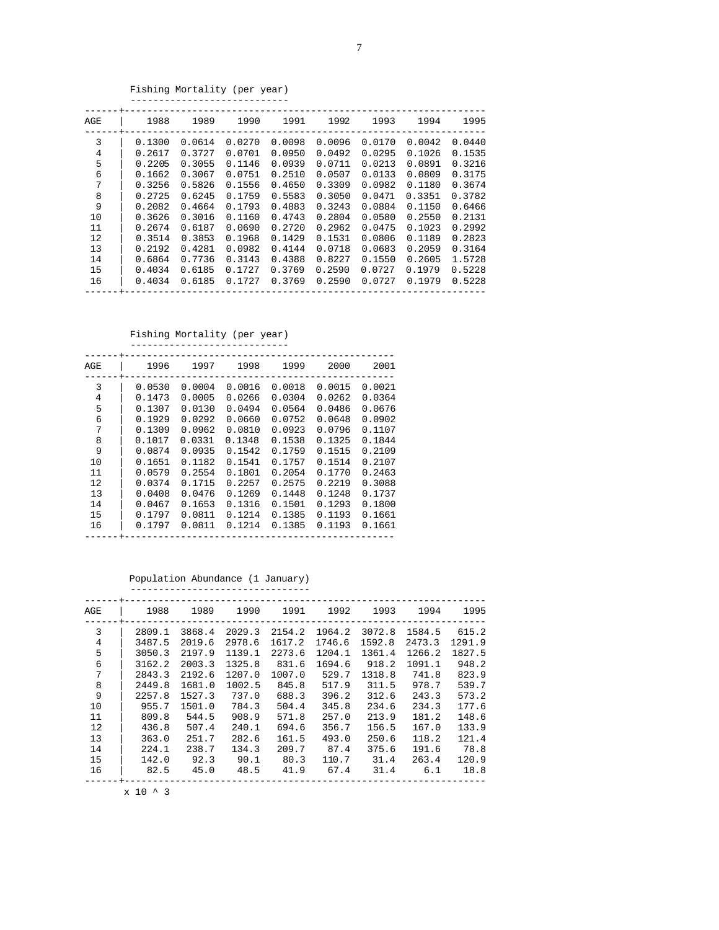## Fishing Mortality (per year)

| AGE | 1988   | 1989   | 1990   | 1991   | 1992   | 1993   | 1994   | 1995   |
|-----|--------|--------|--------|--------|--------|--------|--------|--------|
| 3   | 0.1300 | 0.0614 | 0.0270 | 0.0098 | 0.0096 | 0.0170 | 0.0042 | 0.0440 |
| 4   | 0.2617 | 0.3727 | 0.0701 | 0.0950 | 0.0492 | 0.0295 | 0.1026 | 0.1535 |
| 5   | 0.2205 | 0.3055 | 0.1146 | 0.0939 | 0.0711 | 0.0213 | 0.0891 | 0.3216 |
| 6   | 0.1662 | 0.3067 | 0.0751 | 0.2510 | 0.0507 | 0.0133 | 0.0809 | 0.3175 |
| 7   | 0.3256 | 0.5826 | 0.1556 | 0.4650 | 0.3309 | 0.0982 | 0.1180 | 0.3674 |
| 8   | 0.2725 | 0.6245 | 0.1759 | 0.5583 | 0.3050 | 0.0471 | 0.3351 | 0.3782 |
| 9   | 0.2082 | 0.4664 | 0.1793 | 0.4883 | 0.3243 | 0.0884 | 0.1150 | 0.6466 |
| 10  | 0.3626 | 0.3016 | 0.1160 | 0.4743 | 0.2804 | 0.0580 | 0.2550 | 0.2131 |
| 11  | 0.2674 | 0.6187 | 0.0690 | 0.2720 | 0.2962 | 0.0475 | 0.1023 | 0.2992 |
| 12  | 0.3514 | 0.3853 | 0.1968 | 0.1429 | 0.1531 | 0.0806 | 0.1189 | 0.2823 |
| 13  | 0.2192 | 0.4281 | 0.0982 | 0.4144 | 0.0718 | 0.0683 | 0.2059 | 0.3164 |
| 14  | 0.6864 | 0.7736 | 0.3143 | 0.4388 | 0.8227 | 0.1550 | 0.2605 | 1.5728 |
| 15  | 0.4034 | 0.6185 | 0.1727 | 0.3769 | 0.2590 | 0.0727 | 0.1979 | 0.5228 |
| 16  | 0.4034 | 0.6185 | 0.1727 | 0.3769 | 0.2590 | 0.0727 | 0.1979 | 0.5228 |

#### Fishing Mortality (per year) ----------------------------

| AGE | 1996   | 1997   | 1998   | 1999   | 2000   | 2001   |
|-----|--------|--------|--------|--------|--------|--------|
| 3   | 0.0530 | 0.0004 | 0.0016 | 0.0018 | 0.0015 | 0.0021 |
| 4   | 0.1473 | 0.0005 | 0.0266 | 0.0304 | 0.0262 | 0.0364 |
| 5   | 0.1307 | 0.0130 | 0.0494 | 0.0564 | 0.0486 | 0.0676 |
| 6   | 0.1929 | 0.0292 | 0.0660 | 0.0752 | 0.0648 | 0.0902 |
| 7   | 0.1309 | 0.0962 | 0.0810 | 0.0923 | 0.0796 | 0.1107 |
| 8   | 0.1017 | 0.0331 | 0.1348 | 0.1538 | 0.1325 | 0.1844 |
| 9   | 0.0874 | 0.0935 | 0.1542 | 0.1759 | 0.1515 | 0.2109 |
| 10  | 0.1651 | 0.1182 | 0.1541 | 0.1757 | 0.1514 | 0.2107 |
| 11  | 0.0579 | 0.2554 | 0.1801 | 0.2054 | 0.1770 | 0.2463 |
| 12  | 0.0374 | 0.1715 | 0.2257 | 0.2575 | 0.2219 | 0.3088 |
| 13  | 0.0408 | 0.0476 | 0.1269 | 0.1448 | 0.1248 | 0.1737 |
| 14  | 0.0467 | 0.1653 | 0.1316 | 0.1501 | 0.1293 | 0.1800 |
| 15  | 0.1797 | 0.0811 | 0.1214 | 0.1385 | 0.1193 | 0.1661 |
| 16  | 0.1797 | 0.0811 | 0.1214 | 0.1385 | 0.1193 | 0.1661 |
|     |        |        |        |        |        |        |

 Population Abundance (1 January) --------------------------------

| AGE | 1988   | 1989   | 1990   | 1991   | 1992   | 1993   | 1994   | 1995   |
|-----|--------|--------|--------|--------|--------|--------|--------|--------|
| 3   | 2809.1 | 3868.4 | 2029.3 | 2154.2 | 1964.2 | 3072.8 | 1584.5 | 615.2  |
| 4   | 3487.5 | 2019.6 | 2978.6 | 1617.2 | 1746.6 | 1592.8 | 2473.3 | 1291.9 |
| 5   | 3050.3 | 2197.9 | 1139.1 | 2273.6 | 1204.1 | 1361.4 | 1266.2 | 1827.5 |
| 6   | 3162.2 | 2003.3 | 1325.8 | 831.6  | 1694.6 | 918.2  | 1091.1 | 948.2  |
| 7   | 2843.3 | 2192.6 | 1207.0 | 1007.0 | 529.7  | 1318.8 | 741.8  | 823.9  |
| 8   | 2449.8 | 1681.0 | 1002.5 | 845.8  | 517.9  | 311.5  | 978.7  | 539.7  |
| 9   | 2257.8 | 1527.3 | 737.0  | 688.3  | 396.2  | 312.6  | 243.3  | 573.2  |
| 10  | 955.7  | 1501.0 | 784.3  | 504.4  | 345.8  | 234.6  | 234.3  | 177.6  |
| 11  | 809.8  | 544.5  | 908.9  | 571.8  | 257.0  | 213.9  | 181.2  | 148.6  |
| 12  | 436.8  | 507.4  | 240.1  | 694.6  | 356.7  | 156.5  | 167.0  | 133.9  |
| 13  | 363.0  | 251.7  | 282.6  | 161.5  | 493.0  | 250.6  | 118.2  | 121.4  |
| 14  | 224.1  | 238.7  | 134.3  | 209.7  | 87.4   | 375.6  | 191.6  | 78.8   |
| 15  | 142.0  | 92.3   | 90.1   | 80.3   | 110.7  | 31.4   | 263.4  | 120.9  |
| 16  | 82.5   | 45.0   | 48.5   | 41.9   | 67.4   | 31.4   | 6.1    | 18.8   |
|     |        |        |        |        |        |        |        |        |

 $x$  10 ^ 3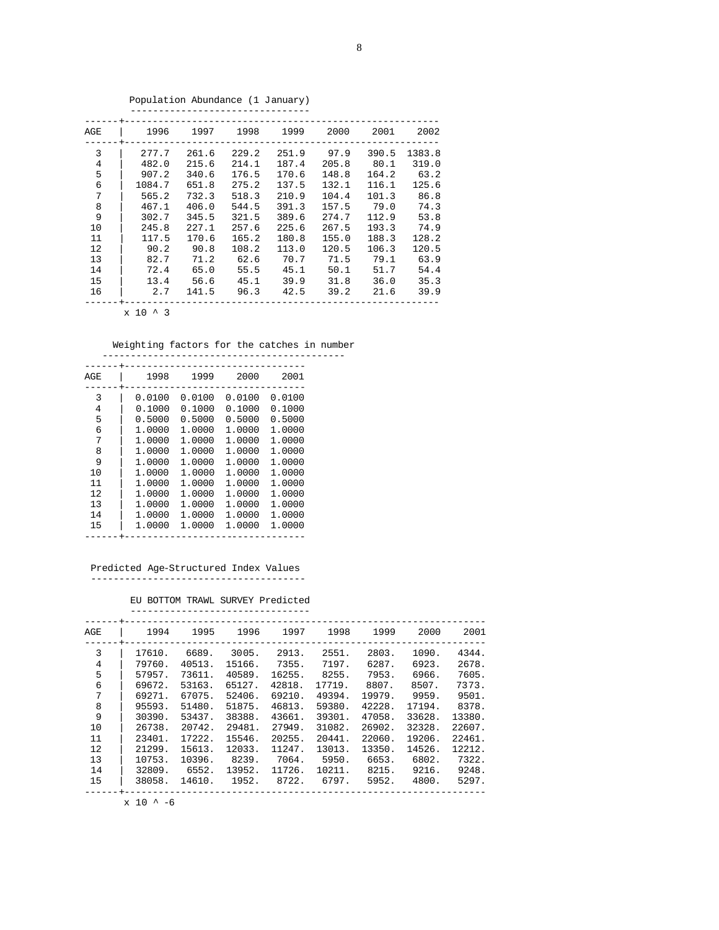| AGE | 1996   | 1997  | 1998  | 1999  | 2000  | 2001  | 2002   |
|-----|--------|-------|-------|-------|-------|-------|--------|
| 3   | 277.7  | 261.6 | 229.2 | 251.9 | 97.9  | 390.5 | 1383.8 |
| 4   | 482.0  | 215.6 | 214.1 | 187.4 | 205.8 | 80.1  | 319.0  |
| 5   | 907.2  | 340.6 | 176.5 | 170.6 | 148.8 | 164.2 | 63.2   |
| 6   | 1084.7 | 651.8 | 275.2 | 137.5 | 132.1 | 116.1 | 125.6  |
| 7   | 565.2  | 732.3 | 518.3 | 210.9 | 104.4 | 101.3 | 86.8   |
| 8   | 467.1  | 406.0 | 544.5 | 391.3 | 157.5 | 79.0  | 74.3   |
| 9   | 302.7  | 345.5 | 321.5 | 389.6 | 274.7 | 112.9 | 53.8   |
| 10  | 245.8  | 227.1 | 257.6 | 225.6 | 267.5 | 193.3 | 74.9   |
| 11  | 117.5  | 170.6 | 165.2 | 180.8 | 155.0 | 188.3 | 128.2  |
| 12  | 90.2   | 90.8  | 108.2 | 113.0 | 120.5 | 106.3 | 120.5  |
| 13  | 82.7   | 71.2  | 62.6  | 70.7  | 71.5  | 79.1  | 63.9   |
| 14  | 72.4   | 65.0  | 55.5  | 45.1  | 50.1  | 51.7  | 54.4   |
| 15  | 13.4   | 56.6  | 45.1  | 39.9  | 31.8  | 36.0  | 35.3   |
| 16  | 2.7    | 141.5 | 96.3  | 42.5  | 39.2  | 21.6  | 39.9   |
|     |        |       |       |       |       |       |        |

Population Abundance (1 January)

x 10 ^ 3

Weighting factors for the catches in number

| AGE | 1998   | 1999   | 2000          | 2001   |
|-----|--------|--------|---------------|--------|
|     |        |        |               |        |
| 3   | 0.0100 | 0.0100 | 0.0100        | 0.0100 |
| 4   | 0.1000 | 0.1000 | 0.1000        | 0.1000 |
| 5   | 0.5000 | 0.5000 | 0.5000        | 0.5000 |
| 6   | 1.0000 | 1.0000 | 1.0000        | 1.0000 |
| 7   | 1.0000 | 1.0000 | 1.0000        | 1,0000 |
| 8   | 1,0000 | 1.0000 | 1.0000        | 1,0000 |
| 9   | 1,0000 | 1.0000 | 1.0000        | 1,0000 |
| 10  | 1,0000 | 1.0000 | 1.0000        | 1,0000 |
| 11  | 1,0000 | 1.0000 | 1.0000        | 1,0000 |
| 12  | 1.0000 | 1.0000 | 1.0000        | 1,0000 |
| 13  | 1.0000 | 1.0000 | 1.0000        | 1,0000 |
| 14  | 1.0000 |        | 1.0000 1.0000 | 1,0000 |
| 15  | 1.0000 |        | 1.0000 1.0000 | 1.0000 |
|     |        |        |               |        |

 Predicted Age-Structured Index Values --------------------------------------

EU BOTTOM TRAWL SURVEY Predicted

| AGE | 1994   | 1995   | 1996   | 1997   | 1998   | 1999   | 2000   | 2001   |
|-----|--------|--------|--------|--------|--------|--------|--------|--------|
| 3   | 17610. | 6689.  | 3005.  | 2913.  | 2551.  | 2803.  | 1090.  | 4344.  |
| 4   | 79760. | 40513. | 15166. | 7355.  | 7197.  | 6287.  | 6923.  | 2678.  |
| 5   | 57957. | 73611. | 40589. | 16255. | 8255.  | 7953.  | 6966.  | 7605.  |
| 6   | 69672. | 53163. | 65127. | 42818. | 17719. | 8807.  | 8507.  | 7373.  |
| 7   | 69271. | 67075. | 52406. | 69210. | 49394. | 19979. | 9959.  | 9501.  |
| 8   | 95593. | 51480. | 51875. | 46813. | 59380. | 42228. | 17194. | 8378.  |
| 9   | 30390. | 53437. | 38388. | 43661. | 39301. | 47058. | 33628. | 13380. |
| 10  | 26738. | 20742. | 29481. | 27949. | 31082. | 26902. | 32328. | 22607. |
| 11  | 23401. | 17222. | 15546. | 20255. | 20441. | 22060. | 19206. | 22461. |
| 12  | 21299. | 15613. | 12033. | 11247. | 13013. | 13350. | 14526. | 12212. |
| 13  | 10753. | 10396. | 8239.  | 7064.  | 5950.  | 6653.  | 6802.  | 7322.  |
| 14  | 32809. | 6552.  | 13952. | 11726. | 10211. | 8215.  | 9216.  | 9248.  |
| 15  | 38058. | 14610. | 1952.  | 8722.  | 6797.  | 5952.  | 4800.  | 5297.  |
|     |        |        |        |        |        |        |        |        |

 $\ge 10$  ^ -6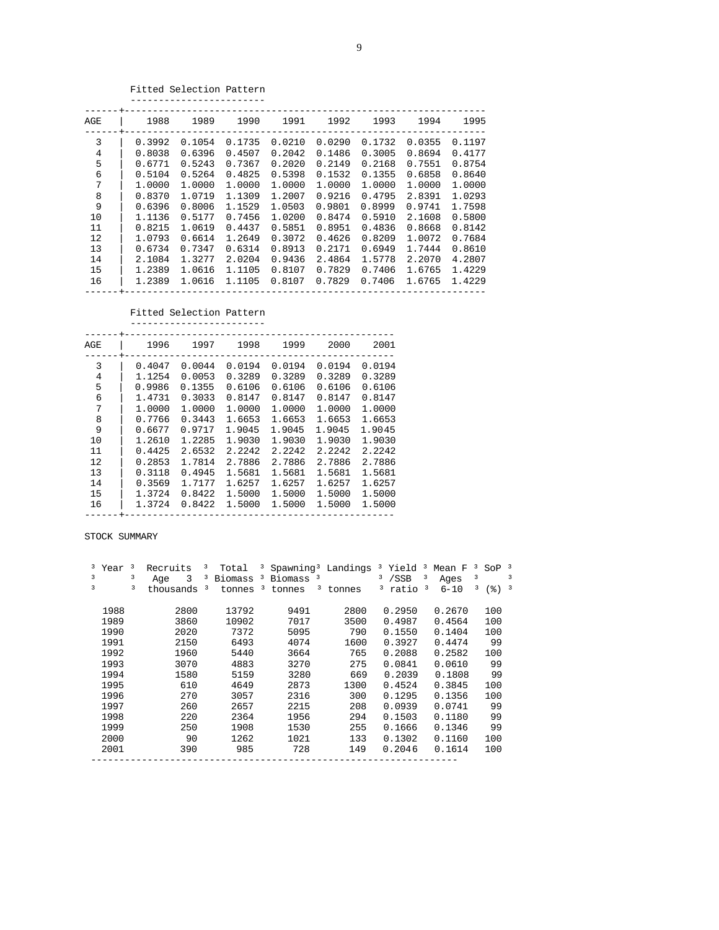## Fitted Selection Pattern

| AGE | 1988   | 1989   | 1990   | 1991   | 1992   | 1993   | 1994   | 1995   |
|-----|--------|--------|--------|--------|--------|--------|--------|--------|
| 3   | 0.3992 | 0.1054 | 0.1735 | 0.0210 | 0.0290 | 0.1732 | 0.0355 | 0.1197 |
| 4   | 0.8038 | 0.6396 | 0.4507 | 0.2042 | 0.1486 | 0.3005 | 0.8694 | 0.4177 |
| 5   | 0.6771 | 0.5243 | 0.7367 | 0.2020 | 0.2149 | 0.2168 | 0.7551 | 0.8754 |
| 6   | 0.5104 | 0.5264 | 0.4825 | 0.5398 | 0.1532 | 0.1355 | 0.6858 | 0.8640 |
| 7   | 1.0000 | 1,0000 | 1,0000 | 1.0000 | 1.0000 | 1.0000 | 1.0000 | 1.0000 |
| 8   | 0.8370 | 1.0719 | 1.1309 | 1.2007 | 0.9216 | 0.4795 | 2.8391 | 1.0293 |
| 9   | 0.6396 | 0.8006 | 1.1529 | 1.0503 | 0.9801 | 0.8999 | 0.9741 | 1.7598 |
| 10  | 1.1136 | 0.5177 | 0.7456 | 1.0200 | 0.8474 | 0.5910 | 2.1608 | 0.5800 |
| 11  | 0.8215 | 1.0619 | 0.4437 | 0.5851 | 0.8951 | 0.4836 | 0.8668 | 0.8142 |
| 12  | 1.0793 | 0.6614 | 1.2649 | 0.3072 | 0.4626 | 0.8209 | 1.0072 | 0.7684 |
| 13  | 0.6734 | 0.7347 | 0.6314 | 0.8913 | 0.2171 | 0.6949 | 1.7444 | 0.8610 |
| 14  | 2.1084 | 1.3277 | 2.0204 | 0.9436 | 2.4864 | 1.5778 | 2.2070 | 4.2807 |
| 15  | 1.2389 | 1.0616 | 1.1105 | 0.8107 | 0.7829 | 0.7406 | 1.6765 | 1.4229 |
| 16  | 1.2389 | 1.0616 | 1.1105 | 0.8107 | 0.7829 | 0.7406 | 1.6765 | 1.4229 |
|     |        |        |        |        |        |        |        |        |

### Fitted Selection Pattern

| AGE                                                                 | 1996                                                                                                                           | 1997                                                                                                                           | 1998                                                                                                                           | 1999                                                                                                                           | 2000                                                                                                                           | 2001                                                                                                                           |
|---------------------------------------------------------------------|--------------------------------------------------------------------------------------------------------------------------------|--------------------------------------------------------------------------------------------------------------------------------|--------------------------------------------------------------------------------------------------------------------------------|--------------------------------------------------------------------------------------------------------------------------------|--------------------------------------------------------------------------------------------------------------------------------|--------------------------------------------------------------------------------------------------------------------------------|
| 3<br>4<br>5<br>6<br>7<br>8<br>9<br>10<br>11<br>12<br>13<br>14<br>15 | 0.4047<br>1.1254<br>0.9986<br>1.4731<br>1,0000<br>0.7766<br>0.6677<br>1.2610<br>0.4425<br>0.2853<br>0.3118<br>0.3569<br>1.3724 | 0.0044<br>0.0053<br>0.1355<br>0.3033<br>1,0000<br>0.3443<br>0.9717<br>1.2285<br>2.6532<br>1.7814<br>0.4945<br>1.7177<br>0.8422 | 0.0194<br>0.3289<br>0.6106<br>0.8147<br>1.0000<br>1.6653<br>1.9045<br>1.9030<br>2.2242<br>2.7886<br>1.5681<br>1.6257<br>1.5000 | 0.0194<br>0.3289<br>0.6106<br>0.8147<br>1,0000<br>1.6653<br>1.9045<br>1.9030<br>2.2242<br>2.7886<br>1.5681<br>1.6257<br>1.5000 | 0.0194<br>0.3289<br>0.6106<br>0.8147<br>1,0000<br>1.6653<br>1.9045<br>1.9030<br>2.2242<br>2.7886<br>1.5681<br>1.6257<br>1.5000 | 0.0194<br>0.3289<br>0.6106<br>0.8147<br>1,0000<br>1.6653<br>1.9045<br>1.9030<br>2.2242<br>2.7886<br>1.5681<br>1.6257<br>1.5000 |
| 16                                                                  | 1.3724                                                                                                                         | 0.8422                                                                                                                         | 1.5000                                                                                                                         | 1.5000                                                                                                                         | 1.5000                                                                                                                         | 1.5000                                                                                                                         |

STOCK SUMMARY

|   | <sup>3</sup> Year | 3 | Recruits                 | 3 | Total          |                         | <sup>3</sup> Spawning <sup>3</sup> Landings |                     | <sup>3</sup> Yield <sup>3</sup>               |   | Mean F   | $\overline{\mathbf{3}}$ | SoP | 3 |
|---|-------------------|---|--------------------------|---|----------------|-------------------------|---------------------------------------------|---------------------|-----------------------------------------------|---|----------|-------------------------|-----|---|
| 3 |                   | з | 3<br>Aqe                 | 3 | <b>Biomass</b> | 3                       | Biomass <sup>3</sup>                        |                     | 3<br>$/$ SSB                                  | 3 | Ages     | з                       |     | 3 |
| 3 |                   | 3 | thous and s <sup>3</sup> |   | tonnes         | $\overline{\mathbf{3}}$ | tonnes                                      | <sup>3</sup> tonnes | $\overline{\mathbf{3}}$<br>ratio <sup>3</sup> |   | $6 - 10$ | з                       | (응) | з |
|   |                   |   |                          |   |                |                         |                                             |                     |                                               |   |          |                         |     |   |
|   | 1988              |   | 2800                     |   | 13792          |                         | 9491                                        | 2800                | 0.2950                                        |   | 0.2670   |                         | 100 |   |
|   | 1989              |   | 3860                     |   | 10902          |                         | 7017                                        | 3500                | 0.4987                                        |   | 0.4564   |                         | 100 |   |
|   | 1990              |   | 2020                     |   | 7372           |                         | 5095                                        | 790                 | 0.1550                                        |   | 0.1404   |                         | 100 |   |
|   | 1991              |   | 2150                     |   | 6493           |                         | 4074                                        | 1600                | 0.3927                                        |   | 0.4474   |                         | 99  |   |
|   | 1992              |   | 1960                     |   | 5440           |                         | 3664                                        | 765                 | 0.2088                                        |   | 0.2582   |                         | 100 |   |
|   | 1993              |   | 3070                     |   | 4883           |                         | 3270                                        | 275                 | 0.0841                                        |   | 0.0610   |                         | 99  |   |
|   | 1994              |   | 1580                     |   | 5159           |                         | 3280                                        | 669                 | 0.2039                                        |   | 0.1808   |                         | 99  |   |
|   | 1995              |   | 610                      |   | 4649           |                         | 2873                                        | 1300                | 0.4524                                        |   | 0.3845   |                         | 100 |   |
|   | 1996              |   | 270                      |   | 3057           |                         | 2316                                        | 300                 | 0.1295                                        |   | 0.1356   |                         | 100 |   |
|   | 1997              |   | 260                      |   | 2657           |                         | 2215                                        | 208                 | 0.0939                                        |   | 0.0741   |                         | 99  |   |
|   | 1998              |   | 220                      |   | 2364           |                         | 1956                                        | 294                 | 0.1503                                        |   | 0.1180   |                         | 99  |   |
|   | 1999              |   | 250                      |   | 1908           |                         | 1530                                        | 255                 | 0.1666                                        |   | 0.1346   |                         | 99  |   |
|   | 2000              |   | 90                       |   | 1262           |                         | 1021                                        | 133                 | 0.1302                                        |   | 0.1160   |                         | 100 |   |
|   | 2001              |   | 390                      |   | 985            |                         | 728                                         | 149                 | 0.2046                                        |   | 0.1614   |                         | 100 |   |
|   |                   |   |                          |   |                |                         |                                             |                     |                                               |   |          |                         |     |   |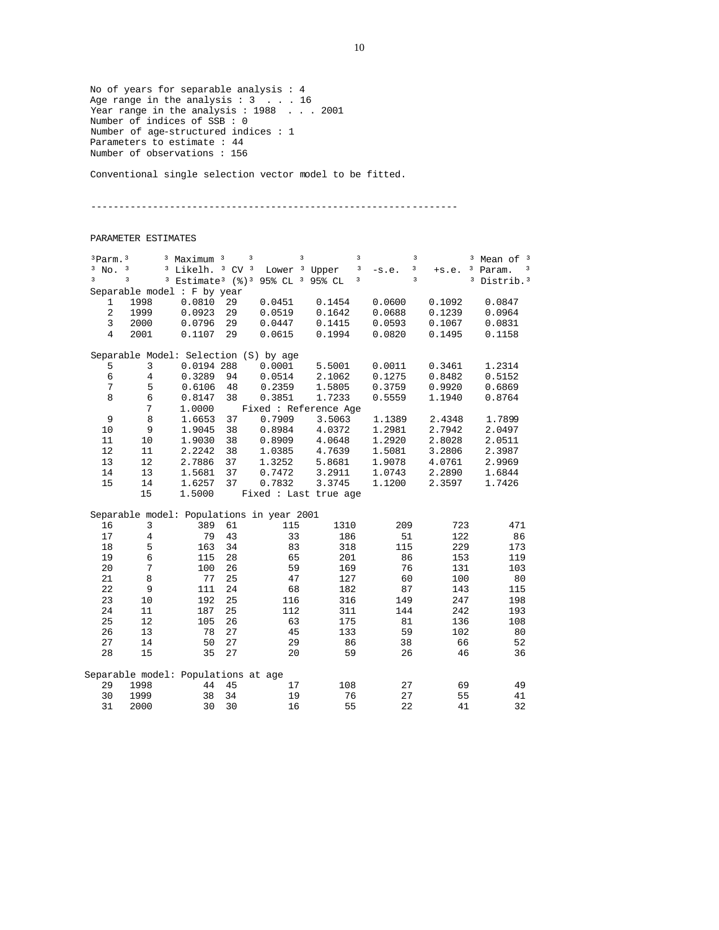No of years for separable analysis : 4 Age range in the analysis : 3 . . . 16 Year range in the analysis : 1988 . . . 2001 Number of indices of SSB : 0 Number of age-structured indices : 1 Parameters to estimate : 44 Number of observations : 156

Conventional single selection vector model to be fitted.

-----------------------------------------------------------------

#### PARAMETER ESTIMATES

| $3$ Parm. $3$  |                                           | <sup>3</sup> Maximum <sup>3</sup> | 3          | 3                                                                 | 3                     | 3            | 3            | Mean of 3             |
|----------------|-------------------------------------------|-----------------------------------|------------|-------------------------------------------------------------------|-----------------------|--------------|--------------|-----------------------|
| $3$ No.        | 3                                         | <sup>3</sup> Likelh.              | $3$ CV $3$ | Lower <sup>3</sup> Upper                                          | 3                     | 3<br>$-s.e.$ | з<br>$+s.e.$ | Param.<br>3           |
| 3              | 3<br>$\overline{\mathbf{3}}$              |                                   |            | Estimate <sup>3</sup> (%) <sup>3</sup> 95% CL <sup>3</sup> 95% CL | 3                     | 3            | 3            | Distrib. <sup>3</sup> |
|                | Separable model : F by year               |                                   |            |                                                                   |                       |              |              |                       |
| 1              | 1998                                      | 0.0810                            | 29         | 0.0451                                                            | 0.1454                | 0.0600       | 0.1092       | 0.0847                |
| $\overline{c}$ | 1999                                      | 0.0923                            | 29         | 0.0519                                                            | 0.1642                | 0.0688       | 0.1239       | 0.0964                |
| 3              | 2000                                      | 0.0796                            | 29         | 0.0447                                                            | 0.1415                | 0.0593       | 0.1067       | 0.0831                |
| $\overline{4}$ | 2001                                      | 0.1107                            | 29         | 0.0615                                                            | 0.1994                | 0.0820       | 0.1495       | 0.1158                |
|                |                                           |                                   |            |                                                                   |                       |              |              |                       |
|                | Separable Model: Selection (S) by age     |                                   |            |                                                                   |                       |              |              |                       |
| 5              | 3                                         | 0.0194 288                        |            | 0.0001                                                            | 5.5001                | 0.0011       | 0.3461       | 1.2314                |
| $\epsilon$     | $\overline{4}$                            | 0.3289                            | 94         | 0.0514                                                            | 2.1062                | 0.1275       | 0.8482       | 0.5152                |
| 7              | 5                                         | 0.6106                            | 48         | 0.2359                                                            | 1.5805                | 0.3759       | 0.9920       | 0.6869                |
| 8              | 6                                         | 0.8147                            | 38         | 0.3851                                                            | 1.7233                | 0.5559       | 1.1940       | 0.8764                |
|                | 7                                         | 1.0000                            |            |                                                                   | Fixed : Reference Age |              |              |                       |
| 9              | $\,8\,$                                   | 1.6653                            | 37         | 0.7909                                                            | 3.5063                | 1.1389       | 2.4348       | 1.7899                |
| 10             | 9                                         | 1.9045                            | 38         | 0.8984                                                            | 4.0372                | 1.2981       | 2.7942       | 2.0497                |
| 11             | 10                                        | 1.9030                            | 38         | 0.8909                                                            | 4.0648                | 1.2920       | 2.8028       | 2.0511                |
| 12             | 11                                        | 2.2242                            | 38         | 1.0385                                                            | 4.7639                | 1.5081       | 3.2806       | 2.3987                |
| 13             | 12                                        | 2.7886                            | 37         | 1.3252                                                            | 5.8681                | 1.9078       | 4.0761       | 2.9969                |
| 14             | 13                                        | 1.5681                            | 37         | 0.7472                                                            | 3.2911                | 1.0743       | 2.2890       | 1.6844                |
| 15             | 14                                        | 1.6257                            | 37         | 0.7832                                                            | 3.3745                | 1.1200       | 2.3597       | 1.7426                |
|                | 15                                        | 1.5000                            |            |                                                                   | Fixed : Last true age |              |              |                       |
|                |                                           |                                   |            |                                                                   |                       |              |              |                       |
|                | Separable model: Populations in year 2001 |                                   |            |                                                                   |                       |              |              |                       |
| 16             | 3                                         | 389                               | 61         | 115                                                               | 1310                  | 209          | 723          | 471                   |
| 17             | $\overline{4}$                            | 79                                | 43         | 33                                                                | 186                   | 51           | 122          | 86                    |
| 18             | 5                                         | 163                               | 34         | 83                                                                | 318                   | 115          | 229          | 173                   |
| 19             | 6                                         | 115                               | 28         | 65                                                                | 201                   | 86           | 153          | 119                   |
| 20             | $7\phantom{.}$                            | 100                               | 26         | 59                                                                | 169                   | 76           | 131          | 103                   |
| 21             | 8                                         | 77                                | 25         | 47                                                                | 127                   | 60           | 100          | 80                    |
| 22             | 9                                         | 111                               | 24         | 68                                                                | 182                   | 87           | 143          | 115                   |
| 23             | 10                                        | 192                               | 25         | 116                                                               | 316                   | 149          | 247          | 198                   |
| 24             | 11                                        | 187                               | 25         | 112                                                               | 311                   | 144          | 242          | 193                   |
| 25             | 12                                        | 105                               | 26         | 63                                                                | 175                   | 81           | 136          | 108                   |
| 26             | 13                                        | 78                                | 27         | 45                                                                | 133                   | 59           | 102          | 80                    |
| 27             | 14                                        | 50                                | 27         | 29                                                                | 86                    | 38           | 66           | 52                    |
| 28             | 15                                        | 35                                | 27         | 20                                                                | 59                    | 26           | 46           | 36                    |
|                | Separable model: Populations at age       |                                   |            |                                                                   |                       |              |              |                       |
| 29             | 1998                                      | 44                                | 45         | 17                                                                | 108                   | 27           | 69           | 49                    |
| 30             | 1999                                      | 38                                | 34         | 19                                                                | 76                    | 27           | 55           | 41                    |
|                |                                           |                                   |            |                                                                   |                       |              |              |                       |
| 31             | 2000                                      | 30                                | 30         | 16                                                                | 55                    | 22           | 41           | 32                    |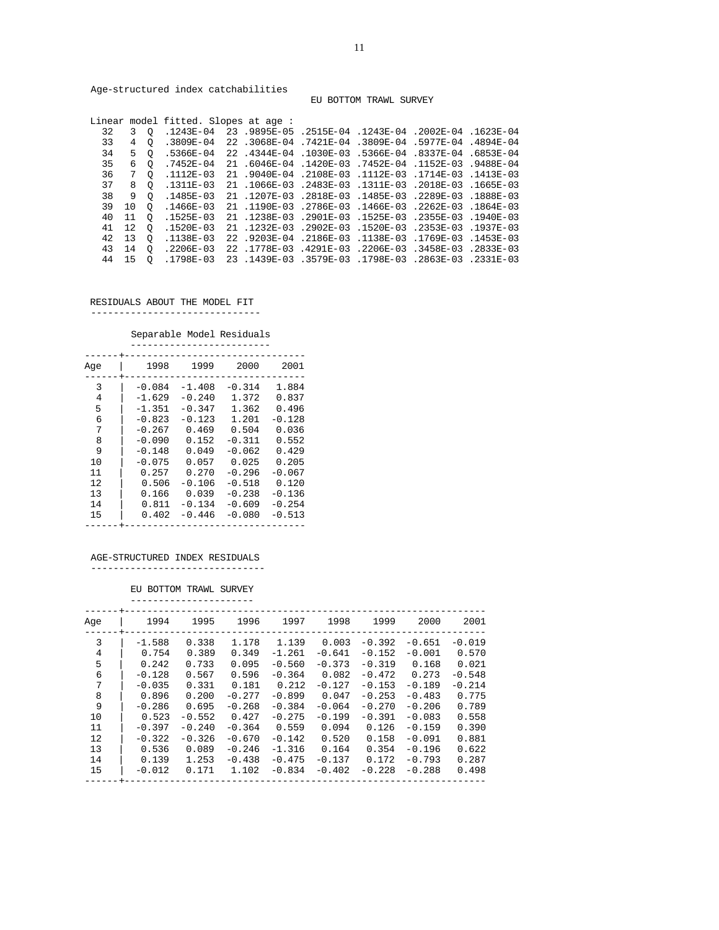Age-structured index catchabilities

EU BOTTOM TRAWL SURVEY

| 39 10 |          |                                                       |                                                                                                                                                |                                      |  |                                                                                                                                                                                                                                                                                                                                                                                                                                                                                                                                                                                                                                                                                                                                                               |
|-------|----------|-------------------------------------------------------|------------------------------------------------------------------------------------------------------------------------------------------------|--------------------------------------|--|---------------------------------------------------------------------------------------------------------------------------------------------------------------------------------------------------------------------------------------------------------------------------------------------------------------------------------------------------------------------------------------------------------------------------------------------------------------------------------------------------------------------------------------------------------------------------------------------------------------------------------------------------------------------------------------------------------------------------------------------------------------|
| 11    | $\circ$  |                                                       |                                                                                                                                                |                                      |  |                                                                                                                                                                                                                                                                                                                                                                                                                                                                                                                                                                                                                                                                                                                                                               |
| 12    |          |                                                       |                                                                                                                                                |                                      |  |                                                                                                                                                                                                                                                                                                                                                                                                                                                                                                                                                                                                                                                                                                                                                               |
|       |          |                                                       |                                                                                                                                                |                                      |  |                                                                                                                                                                                                                                                                                                                                                                                                                                                                                                                                                                                                                                                                                                                                                               |
| 43 14 | $\circ$  |                                                       |                                                                                                                                                |                                      |  |                                                                                                                                                                                                                                                                                                                                                                                                                                                                                                                                                                                                                                                                                                                                                               |
| 15    | $\Omega$ |                                                       |                                                                                                                                                |                                      |  |                                                                                                                                                                                                                                                                                                                                                                                                                                                                                                                                                                                                                                                                                                                                                               |
|       |          | 4 0<br>6 O<br>7 O<br>8 0<br>9 O<br>$\circ$<br>42 13 0 | .7452E-04<br>$.1112E - 03$<br>$1311E - 03$<br>$1485E - 03$<br>O .1466E-03<br>.1525E-03<br>$.1520E - 03$<br>.1138E-03<br>.2206E-03<br>.1798E-03 | Linear model fitted. Slopes at age : |  | 3 0 .1243E-04 23 .9895E-05 .2515E-04 .1243E-04 .2002E-04 .1243E-04<br>04 .4894E−04 .22 .3068E−04 .7421E−04 .3809E−04 .5977E−04 .4894E−04 .<br>5 0 .5366E-04 22 .4344E-04 .1030E-03 .5366E-04 .8337E-04 .6853E-04<br>21.6046E-04.1420E-03.7452E-04.1152E-03.9488E-04<br>21 .9040E-04 .2108E-03 .1112E-03 .1714E-03 .1413E-03<br>21.1066E-03.2483E-03.1311E-03.2018E-03.1665E-03<br>21.1207E-03.2818E-03.1485E-03.2289E-03.1888E-03<br>21 .1190E-03 .2786E-03 .1466E-03 .2262E-03 .1864E-03<br>21.1238E-03.2901E-03.1525E-03.2355E-03.1940E-03<br>21 .1232E-03 .2902E-03 .1520E-03 .2353E-03 .1937E-03<br>22.9203E-04.2186E-03.1138E-03.1769E-03.1453E-03<br>22.1778E-03.4291E-03.2206E-03.3458E-03.2833E-03<br>23.1439E-03.3579E-03.1798E-03.2863E-03.2331E-03 |

RESIDUALS ABOUT THE MODEL FIT

------------------------------

#### Separable Model Residuals -------------------------

| Aqe                                                                 | 1998                                                                                                                                    | 1999                                                                                                                                   | 2000                                                                                                                                      | 2001                                                                                                                             |
|---------------------------------------------------------------------|-----------------------------------------------------------------------------------------------------------------------------------------|----------------------------------------------------------------------------------------------------------------------------------------|-------------------------------------------------------------------------------------------------------------------------------------------|----------------------------------------------------------------------------------------------------------------------------------|
| 3<br>4<br>5<br>6<br>7<br>8<br>9<br>10<br>11<br>12<br>13<br>14<br>15 | -0.084<br>$-1.629$<br>$-1.351$<br>$-0.823$<br>$-0.267$<br>$-0.090$<br>$-0.148$<br>$-0.075$<br>0.257<br>0.506<br>0.166<br>0.811<br>0.402 | $-1.408$<br>$-0.240$<br>$-0.347$<br>$-0.123$<br>0.469<br>0.152<br>0.049<br>0.057<br>0.270<br>$-0.106$<br>0.039<br>$-0.134$<br>$-0.446$ | $-0.314$<br>1.372<br>1.362<br>1.201<br>0.504<br>$-0.311$<br>$-0.062$<br>0.025<br>$-0.296$<br>$-0.518$<br>$-0.238$<br>$-0.609$<br>$-0.080$ | 1.884<br>0.837<br>0.496<br>$-0.128$<br>0.036<br>0.552<br>0.429<br>0.205<br>$-0.067$<br>0.120<br>$-0.136$<br>$-0.254$<br>$-0.513$ |
|                                                                     |                                                                                                                                         |                                                                                                                                        |                                                                                                                                           |                                                                                                                                  |

#### AGE-STRUCTURED INDEX RESIDUALS

-------------------------------

#### EU BOTTOM TRAWL SURVEY ----------------------

| Aqe | 1994     | 1995     | 1996     | 1997     | 1998     | 1999     | 2000     | 2001     |
|-----|----------|----------|----------|----------|----------|----------|----------|----------|
| 3   | $-1.588$ | 0.338    | 1.178    | 1.139    | 0.003    | $-0.392$ | $-0.651$ | $-0.019$ |
| 4   | 0.754    | 0.389    | 0.349    | $-1.261$ | $-0.641$ | $-0.152$ | $-0.001$ | 0.570    |
| 5   | 0.242    | 0.733    | 0.095    | $-0.560$ | $-0.373$ | $-0.319$ | 0.168    | 0.021    |
| 6   | $-0.128$ | 0.567    | 0.596    | $-0.364$ | 0.082    | $-0.472$ | 0.273    | $-0.548$ |
| 7   | $-0.035$ | 0.331    | 0.181    | 0.212    | $-0.127$ | $-0.153$ | $-0.189$ | $-0.214$ |
| 8   | 0.896    | 0.200    | $-0.277$ | $-0.899$ | 0.047    | $-0.253$ | $-0.483$ | 0.775    |
| 9   | $-0.286$ | 0.695    | $-0.268$ | $-0.384$ | $-0.064$ | $-0.270$ | $-0.206$ | 0.789    |
| 10  | 0.523    | $-0.552$ | 0.427    | $-0.275$ | $-0.199$ | $-0.391$ | $-0.083$ | 0.558    |
| 11  | $-0.397$ | $-0.240$ | $-0.364$ | 0.559    | 0.094    | 0.126    | $-0.159$ | 0.390    |
| 12  | $-0.322$ | $-0.326$ | $-0.670$ | $-0.142$ | 0.520    | 0.158    | $-0.091$ | 0.881    |
| 13  | 0.536    | 0.089    | $-0.246$ | $-1.316$ | 0.164    | 0.354    | $-0.196$ | 0.622    |
| 14  | 0.139    | 1.253    | $-0.438$ | $-0.475$ | $-0.137$ | 0.172    | $-0.793$ | 0.287    |
| 15  | $-0.012$ | 0.171    | 1.102    | $-0.834$ | $-0.402$ | $-0.228$ | $-0.288$ | 0.498    |
|     |          |          |          |          |          |          |          |          |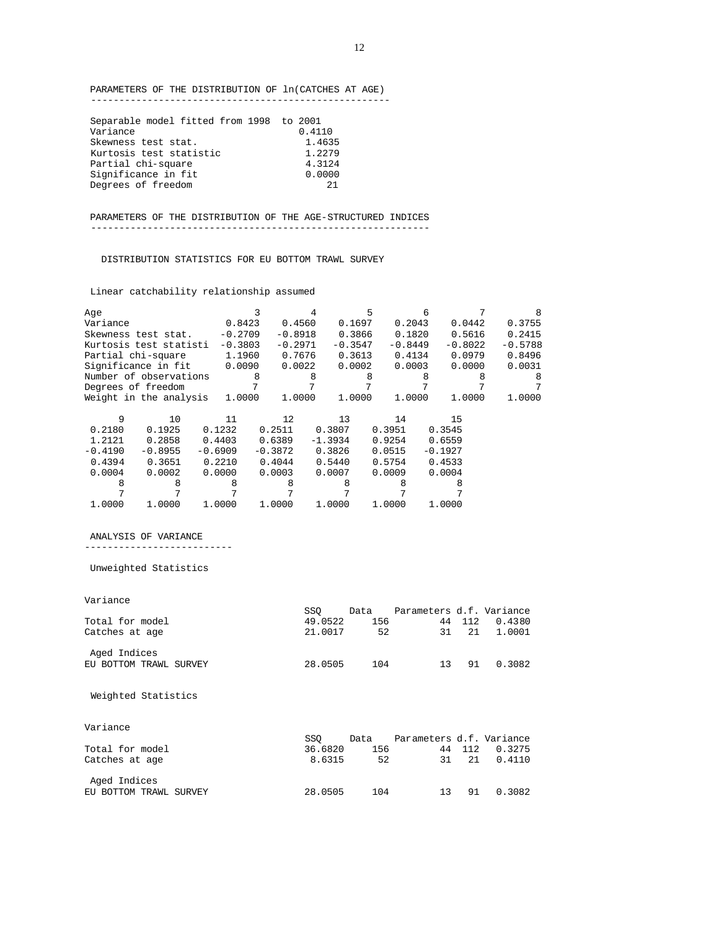PARAMETERS OF THE DISTRIBUTION OF ln(CATCHES AT AGE) -----------------------------------------------------

| Separable model fitted from 1998 to 2001 |        |
|------------------------------------------|--------|
| Variance                                 | 0.4110 |
| Skewness test stat.                      | 1.4635 |
| Kurtosis test statistic                  | 1.2279 |
| Partial chi-square                       | 4.3124 |
| Significance in fit                      | 0.0000 |
| Degrees of freedom                       | 21     |

 PARAMETERS OF THE DISTRIBUTION OF THE AGE-STRUCTURED INDICES ------------------------------------------------------------

DISTRIBUTION STATISTICS FOR EU BOTTOM TRAWL SURVEY

Linear catchability relationship assumed

| Aqe       |                        |           |           |           |           | 5         |           | Б         |           |           |
|-----------|------------------------|-----------|-----------|-----------|-----------|-----------|-----------|-----------|-----------|-----------|
| Variance  |                        |           | 0.8423    | 0.4560    |           | 0.1697    | 0.2043    |           | 0.0442    | 0.3755    |
|           | Skewness test stat.    |           | $-0.2709$ | $-0.8918$ |           | 0.3866    | 0.1820    |           | 0.5616    | 0.2415    |
|           | Kurtosis test statisti |           | $-0.3803$ | $-0.2971$ |           | $-0.3547$ | $-0.8449$ |           | $-0.8022$ | $-0.5788$ |
|           | Partial chi-square     |           | 1.1960    | 0.7676    |           | 0.3613    | 0.4134    |           | 0.0979    | 0.8496    |
|           | Significance in fit    |           | 0.0090    | 0.0022    |           | 0.0002    | 0.0003    |           | 0.0000    | 0.0031    |
|           | Number of observations |           | 8         |           | 8         | 8         |           | 8         | 8         | 8         |
|           | Degrees of freedom     |           |           |           |           |           |           |           |           |           |
|           | Weight in the analysis |           | 1,0000    | 1.0000    |           | 1,0000    | 1,0000    |           | 1.0000    | 1,0000    |
|           |                        |           |           |           |           |           |           |           |           |           |
| 9         | 10                     | 11        |           | 12        | 13        |           | 14        | 15        |           |           |
| 0.2180    | 0.1925                 | 0.1232    |           | 0.2511    | 0.3807    |           | 0.3951    | 0.3545    |           |           |
| 1.2121    | 0.2858                 | 0.4403    |           | 0.6389    | $-1.3934$ |           | 0.9254    | 0.6559    |           |           |
| $-0.4190$ | $-0.8955$              | $-0.6909$ |           | $-0.3872$ | 0.3826    |           | 0.0515    | $-0.1927$ |           |           |
| 0.4394    | 0.3651                 | 0.2210    |           | 0.4044    | 0.5440    |           | 0.5754    | 0.4533    |           |           |
| 0.0004    | 0.0002                 | 0.0000    |           | 0.0003    | 0.0007    |           | 0.0009    | 0.0004    |           |           |
| 8         | 8                      | 8         |           | 8         |           | 8         |           | 8         |           |           |
|           |                        |           |           |           |           |           |           |           |           |           |
| 1,0000    | 1,0000                 | 1,0000    |           | 1,0000    | 1.0000    |           | 1,0000    | 1,0000    |           |           |
|           |                        |           |           |           |           |           |           |           |           |           |

 ANALYSIS OF VARIANCE --------------------------

Unweighted Statistics

| Variance               |         |      |                          |     |        |
|------------------------|---------|------|--------------------------|-----|--------|
|                        | SSO     | Data | Parameters d.f. Variance |     |        |
| Total for model        | 49.0522 | 156  | 44                       | 112 | 0.4380 |
| Catches at age         | 21.0017 | 52   | 31                       | 21  | 1.0001 |
| Aged Indices           |         |      |                          |     |        |
| EU BOTTOM TRAWL SURVEY | 28.0505 | 104  | 13                       | 91  | 0.3082 |
|                        |         |      |                          |     |        |
| Weighted Statistics    |         |      |                          |     |        |
|                        |         |      |                          |     |        |
| Variance               |         |      |                          |     |        |
|                        | SSO     | Data | Parameters d.f. Variance |     |        |
| Total for model        | 36.6820 | 156  | 44                       | 112 | 0.3275 |
| Catches at age         | 8.6315  | 52   | 31                       | 21  | 0.4110 |
| Aged Indices           |         |      |                          |     |        |
| EU BOTTOM TRAWL SURVEY | 28.0505 | 104  | 13                       | 91  | 0.3082 |